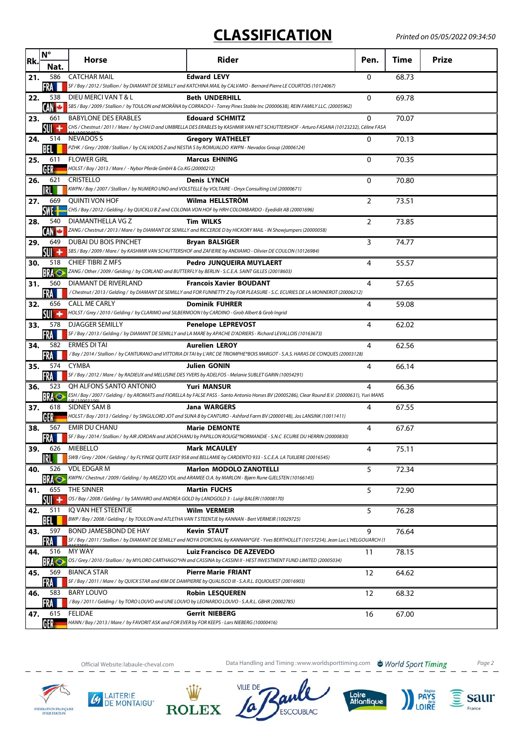## **CLASSIFICATION**

| Rk. | $N^{\circ}$<br>Nat.        | <b>Horse</b>                                                                                                                      | Rider                                                                                                                                                                 | Pen.     | Time  | <b>Prize</b> |
|-----|----------------------------|-----------------------------------------------------------------------------------------------------------------------------------|-----------------------------------------------------------------------------------------------------------------------------------------------------------------------|----------|-------|--------------|
| 21. | 586<br>FRA                 | <b>CATCHAR MAIL</b>                                                                                                               | <b>Edward LEVY</b><br>SF / Bay / 2012 / Stallion / by DIAMANT DE SEMILLY and KATCHINA MAIL by CALVARO - Bernard Pierre LE COURTOIS (10124067)                         | 0        | 68.73 |              |
| 22. | 538<br><b>CAN C</b>        | DIEU MERCI VAN T & L                                                                                                              | <b>Beth UNDERHILL</b><br>SBS / Bay / 2009 / Stallion / by TOULON and MORÄNA by CORRADO-I - Torrey Pines Stable Inc (20000638), REIN FAMILY LLC. (20005962)            | 0        | 69.78 |              |
| 23. | 661<br>SUIT<br>۰           | <b>BABYLONE DES ERABLES</b>                                                                                                       | <b>Edouard SCHMITZ</b><br>CHS / Chestnut / 2011 / Mare / by CHAI D and UMBRELLA DES ERABLES by KASHMIR VAN HET SCHUTTERSHOF - Arturo FASANA (10123232), Céline FASA   | 0        | 70.07 |              |
| 24. | 514<br>BEL                 | NEVADOS S                                                                                                                         | <b>Gregory WATHELET</b><br>PZHK / Grey / 2008 / Stallion / by CALVADOS Z and NESTIA S by ROMUALDO KWPN - Nevados Group (20006124)                                     | 0        | 70.13 |              |
| 25. | 611<br>GER                 | <b>FLOWER GIRL</b><br>HOLST / Bay / 2013 / Mare / - Nybor Pferde GmbH & Co.KG (20000212)                                          | <b>Marcus EHNING</b>                                                                                                                                                  | $\Omega$ | 70.35 |              |
| 26. | 621<br>IRL                 | <b>CRISTELLO</b><br>KWPN / Bay / 2007 / Stallion / by NUMERO UNO and VOLSTELLE by VOLTAIRE - Onyx Consulting Ltd (20000671)       | <b>Denis LYNCH</b>                                                                                                                                                    | $\Omega$ | 70.80 |              |
| 27. | 669<br>SWE- <mark>-</mark> | <b>OUINTI VON HOF</b>                                                                                                             | Wilma HELLSTRÖM<br>CHS / Bay / 2012 / Gelding / by QUICKLIJ B Z and COLONIA VON HOF by HRH COLOMBARDO - Eyedidit AB (20001696)                                        | 2        | 73.51 |              |
| 28. | 540<br>CAN C               | DIAMANTHELLA VG Z                                                                                                                 | <b>Tim WILKS</b><br>ZANG / Chestnut / 2013 / Mare / by DIAMANT DE SEMILLY and RICCERDE D by HICKORY MAIL - IN Showjumpers (20000058)                                  | 2        | 73.85 |              |
| 29. | 649<br>su +                | DUBAI DU BOIS PINCHET                                                                                                             | <b>Bryan BALSIGER</b><br>SBS / Bay / 2009 / Mare / by KASHMIR VAN SCHUTTERSHOF and ZAFIERIE by ANDIAMO - Olivier DE COULON (10126984)                                 | 3        | 74.77 |              |
| 30. | 518<br>BRA ®               | <b>CHIEF TIBRI Z MFS</b><br>ZANG / Other / 2009 / Gelding / by CORLAND and BUTTERFLY by BERLIN - S.C.E.A. SAINT GILLES (20018603) | Pedro JUNQUEIRA MUYLAERT                                                                                                                                              | 4        | 55.57 |              |
| 31. | 560<br>FRA                 | DIAMANT DE RIVERLAND                                                                                                              | <b>Francois Xavier BOUDANT</b><br>/Chestnut/2013/Gelding/by DIAMANT DE SEMILLY and FOR FUNNETTY Z by FOR PLEASURE - S.C. ECURIES DE LA MONNEROT (20006212)            | 4        | 57.65 |              |
| 32. | 656<br>SUI +               | <b>CALL ME CARLY</b><br>HOLST / Grey / 2010 / Gelding / by CLARIMO and SILBERMOON I by CARDINO - Grob Albert & Grob Ingrid        | <b>Dominik FUHRER</b>                                                                                                                                                 | 4        | 59.08 |              |
| 33. | 578<br>FRA                 | <b>DJAGGER SEMILLY</b>                                                                                                            | <b>Penelope LEPREVOST</b><br>SF / Bay / 2013 / Gelding / by DIAMANT DE SEMILLY and LA MARE by APACHE D'ADRIERS - Richard LEVALLOIS (10163673)                         | 4        | 62.02 |              |
| 34. | 582<br>FRA                 | <b>ERMES DI TAI</b>                                                                                                               | <b>Aurelien LEROY</b><br>/Bay / 2014 / Stallion / by CANTURANO and VITTORIA DI TAI by L'ARC DE TRIOMPHE*BOIS MARGOT - S.A.S. HARAS DE CONQUES (20003128)              | 4        | 62.56 |              |
| 35. | FRA                        | 574 CYMBA                                                                                                                         | <b>Julien GONIN</b><br>SF / Bay / 2012 / Mare / by RADIEUX and MELUSINE DES YVERS by ADELFOS - Melanie SUBLET GARIN (10054291)                                        | 4        | 66.14 |              |
| 36. | 523<br><b>BRA</b> O        | OH ALFONS SANTO ANTONIO                                                                                                           | <b>Yuri MANSUR</b><br>ESH / Bay / 2007 / Gelding / by AROMATS and FIORELLA by FALSE PASS - Santo Antonio Horses BV (20005286), Clear Round B.V. (20000631), Yuri MANS | 4        | 66.36 |              |
| 37. | 618<br>GER                 | SIDNEY SAM B                                                                                                                      | <b>Jana WARGERS</b><br>HOLST / Bay / 2013 / Gelding / by SINGULORD JOT and SUNA B by CANTURO - Ashford Farm BV (20000148), Jos LANSINK (10011411)                     | 4        | 67.55 |              |
| 38. | 567<br>FRA III             | <b>EMIR DU CHANU</b>                                                                                                              | <b>Marie DEMONTE</b><br>SF / Bay / 2014 / Stallion / by AIR JORDAN and JADECHANU by PAPILLON ROUGE*NORMANDIE - S.N.C ECURIE DU HERRIN (20000830)                      | 4        | 67.67 |              |
| 39. | 626                        | MIEBELLO                                                                                                                          | <b>Mark MCAULEY</b><br>SWB / Grey / 2004 / Gelding / by FLYINGE QUITE EASY 958 and BELLAMIE by CARDENTO 933 - S.C.E.A. LA TUILIERE (20016545)                         | 4        | 75.11 |              |
| 40. | 526<br><b>BRA</b> O        | <b>VDL EDGARM</b>                                                                                                                 | <b>Marlon MODOLO ZANOTELLI</b><br>KWPN / Chestnut / 2009 / Gelding / by AREZZO VDL and ARAMEE O.A. by MARLON - Bjørn Rune GJELSTEN (10166145)                         | 5        | 72.34 |              |
| 41. | 655<br>su +                | THE SINNER<br>OS / Bay / 2008 / Gelding / by SANVARO and ANDREA GOLD by LANDGOLD 3 - Luigi BALERI (10008170)                      | <b>Martin FUCHS</b>                                                                                                                                                   | 5        | 72.90 |              |
| 42. | 511<br>BEL                 | IQ VAN HET STEENTJE<br>BWP / Bay / 2008 / Gelding / by TOULON and ATLETHA VAN T STEENTJE by KANNAN - Bert VERMEIR (10029725)      | <b>Wilm VERMEIR</b>                                                                                                                                                   | 5        | 76.28 |              |
| 43. | 597<br>FRA                 | BOND JAMESBOND DE HAY                                                                                                             | <b>Kevin STAUT</b><br>SF / Bay / 2011 / Stallion / by DIAMANT DE SEMILLY and NOYA D'ORCIVAL by KANNAN*GFE - Yves BERTHOLLET (10157254), Jean Luc L'HELGOUARCH (1      | 9        | 76.64 |              |
| 44. | 516<br><b>BRA</b>          | MY WAY                                                                                                                            | <b>Luiz Francisco DE AZEVEDO</b><br>OS / Grey / 2010 / Stallion / by MYLORD CARTHAGO*HN and CASSINA by CASSINI II - HEST INVESTMENT FUND LIMITED (20005034)           | 11       | 78.15 |              |
| 45. | 569<br>FRA                 | <b>BIANCA STAR</b>                                                                                                                | <b>Pierre Marie FRIANT</b><br>SF / Bay / 2011 / Mare / by QUICK STAR and KIM DE DAMPIERRE by QUALISCO III - S.A.R.L. EQUIOUEST (20016903)                             | 12       | 64.62 |              |
| 46. | 583                        | <b>BARY LOUVO</b><br>/Bay / 2011 / Gelding / by TORO LOUVO and UNE LOUVO by LEONARDO LOUVO - S.A.R.L. GBHR (20002785)             | <b>Robin LESQUEREN</b>                                                                                                                                                | 12       | 68.32 |              |
| 47. | 615<br>GER                 | FELIDAE<br>HANN / Bay / 2013 / Mare / by FAVORIT ASK and FOR EVER by FOR KEEPS - Lars NIEBERG (10000416)                          | <b>Gerrit NIEBERG</b>                                                                                                                                                 | 16       | 67.00 |              |

**4** LAITERIE

Official Website: labaule-cheval.com **Data Handling and Timing :www.worldsporttiming.com The World Sport Timing** 

**ESCOUBLAC** 

Loire<br>Atlantique

**VILLE DE** 

**ROLEX** 

**PAYS**<br>LOIRE

 $\widehat{\mathbf{S}}$  saur

France